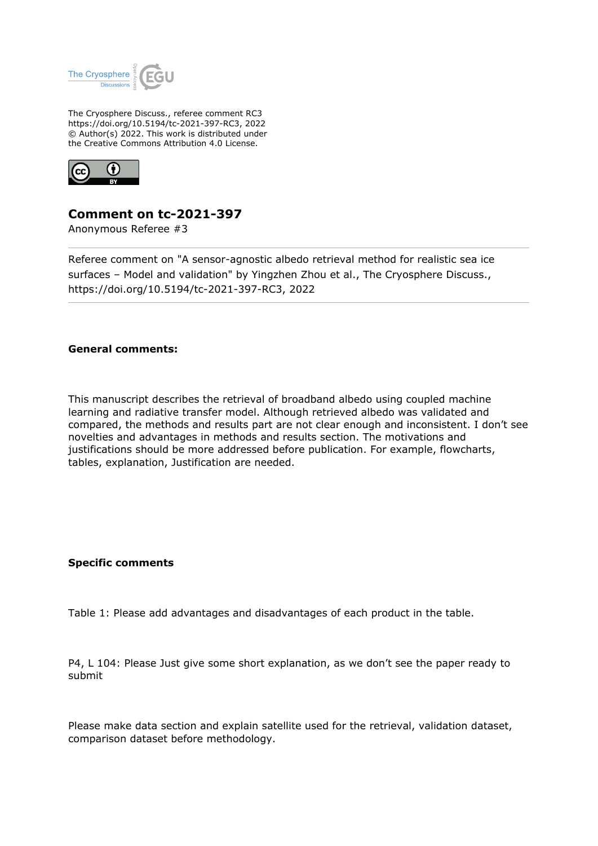

The Cryosphere Discuss., referee comment RC3 https://doi.org/10.5194/tc-2021-397-RC3, 2022 © Author(s) 2022. This work is distributed under the Creative Commons Attribution 4.0 License.



## **Comment on tc-2021-397**

Anonymous Referee #3

Referee comment on "A sensor-agnostic albedo retrieval method for realistic sea ice surfaces – Model and validation" by Yingzhen Zhou et al., The Cryosphere Discuss., https://doi.org/10.5194/tc-2021-397-RC3, 2022

## **General comments:**

This manuscript describes the retrieval of broadband albedo using coupled machine learning and radiative transfer model. Although retrieved albedo was validated and compared, the methods and results part are not clear enough and inconsistent. I don't see novelties and advantages in methods and results section. The motivations and justifications should be more addressed before publication. For example, flowcharts, tables, explanation, Justification are needed.

## **Specific comments**

Table 1: Please add advantages and disadvantages of each product in the table.

P4, L 104: Please Just give some short explanation, as we don't see the paper ready to submit

Please make data section and explain satellite used for the retrieval, validation dataset, comparison dataset before methodology.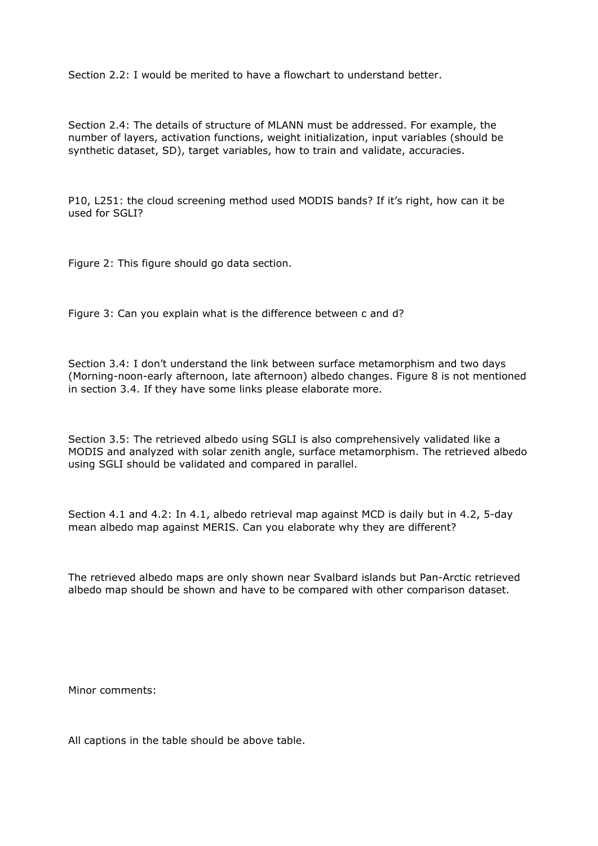Section  $2.2$ : I would be merited to have a flowchart to understand better.

Section 2.4: The details of structure of MLANN must be addressed. For example, the number of layers, activation functions, weight initialization, input variables (should be synthetic dataset, SD), target variables, how to train and validate, accuracies.

P10, L251: the cloud screening method used MODIS bands? If it's right, how can it be used for SGLI?

Figure 2: This figure should go data section.

Figure 3: Can you explain what is the difference between c and d?

Section 3.4: I don't understand the link between surface metamorphism and two days (Morning-noon-early afternoon, late afternoon) albedo changes. Figure 8 is not mentioned in section 3.4. If they have some links please elaborate more.

Section 3.5: The retrieved albedo using SGLI is also comprehensively validated like a MODIS and analyzed with solar zenith angle, surface metamorphism. The retrieved albedo using SGLI should be validated and compared in parallel.

Section 4.1 and 4.2: In 4.1, albedo retrieval map against MCD is daily but in 4.2, 5-day mean albedo map against MERIS. Can you elaborate why they are different?

The retrieved albedo maps are only shown near Svalbard islands but Pan-Arctic retrieved albedo map should be shown and have to be compared with other comparison dataset.

Minor comments:

All captions in the table should be above table.